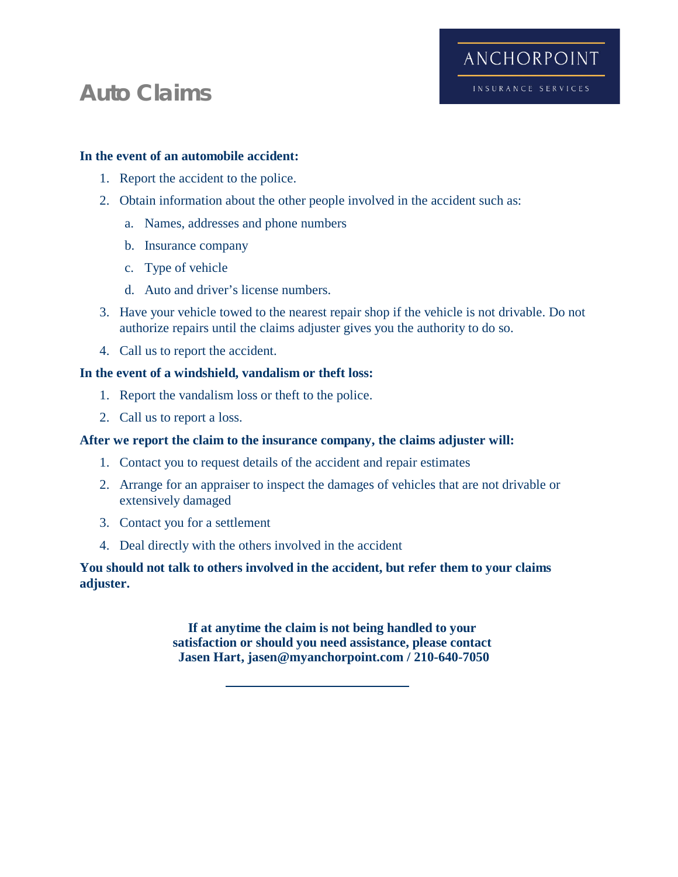## **Auto Claims**

## **In the event of an automobile accident:**

- 1. Report the accident to the police.
- 2. Obtain information about the other people involved in the accident such as:
	- a. Names, addresses and phone numbers
	- b. Insurance company
	- c. Type of vehicle
	- d. Auto and driver's license numbers.
- 3. Have your vehicle towed to the nearest repair shop if the vehicle is not drivable. Do not authorize repairs until the claims adjuster gives you the authority to do so.

ANCHORPOINT

INSURANCE SERVICES

4. Call us to report the accident.

## **In the event of a windshield, vandalism or theft loss:**

- 1. Report the vandalism loss or theft to the police.
- 2. Call us to report a loss.

## **After we report the claim to the insurance company, the claims adjuster will:**

- 1. Contact you to request details of the accident and repair estimates
- 2. Arrange for an appraiser to inspect the damages of vehicles that are not drivable or extensively damaged
- 3. Contact you for a settlement
- 4. Deal directly with the others involved in the accident

## **You should not talk to others involved in the accident, but refer them to your claims adjuster.**

**If at anytime the claim is not being handled to your satisfaction or should you need assistance, please contact Jasen Hart, jasen@myanchorpoint.com / 210-640-7050**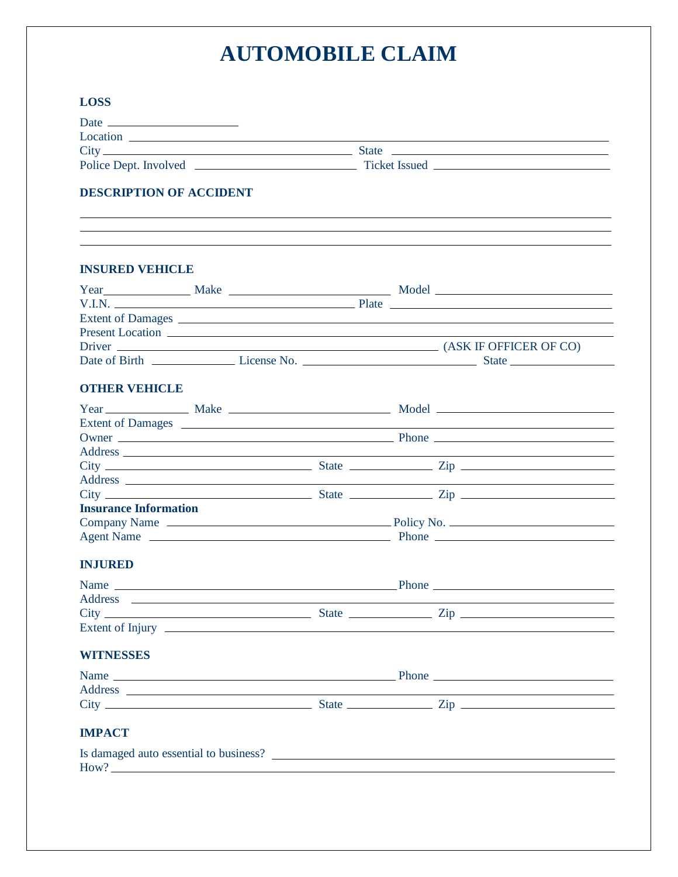# **AUTOMOBILE CLAIM**

| <b>LOSS</b>                    |  |  |  |                                                                                                                       |
|--------------------------------|--|--|--|-----------------------------------------------------------------------------------------------------------------------|
|                                |  |  |  |                                                                                                                       |
|                                |  |  |  |                                                                                                                       |
|                                |  |  |  |                                                                                                                       |
|                                |  |  |  |                                                                                                                       |
| <b>DESCRIPTION OF ACCIDENT</b> |  |  |  |                                                                                                                       |
|                                |  |  |  |                                                                                                                       |
| <b>INSURED VEHICLE</b>         |  |  |  |                                                                                                                       |
|                                |  |  |  |                                                                                                                       |
|                                |  |  |  |                                                                                                                       |
|                                |  |  |  |                                                                                                                       |
|                                |  |  |  |                                                                                                                       |
|                                |  |  |  |                                                                                                                       |
|                                |  |  |  |                                                                                                                       |
| <b>OTHER VEHICLE</b>           |  |  |  |                                                                                                                       |
|                                |  |  |  | Year Make Make Make Model                                                                                             |
|                                |  |  |  |                                                                                                                       |
|                                |  |  |  |                                                                                                                       |
|                                |  |  |  |                                                                                                                       |
|                                |  |  |  |                                                                                                                       |
|                                |  |  |  |                                                                                                                       |
|                                |  |  |  |                                                                                                                       |
| <b>Insurance Information</b>   |  |  |  |                                                                                                                       |
|                                |  |  |  |                                                                                                                       |
|                                |  |  |  |                                                                                                                       |
| <b>INJURED</b>                 |  |  |  |                                                                                                                       |
|                                |  |  |  |                                                                                                                       |
|                                |  |  |  | <u> 1989 - Johann Harry Harry Harry Harry Harry Harry Harry Harry Harry Harry Harry Harry Harry Harry Harry Harry</u> |
|                                |  |  |  |                                                                                                                       |
|                                |  |  |  |                                                                                                                       |
| <b>WITNESSES</b>               |  |  |  |                                                                                                                       |
|                                |  |  |  |                                                                                                                       |
|                                |  |  |  |                                                                                                                       |
|                                |  |  |  |                                                                                                                       |
| <b>IMPACT</b>                  |  |  |  |                                                                                                                       |
|                                |  |  |  | Is damaged auto essential to business?                                                                                |